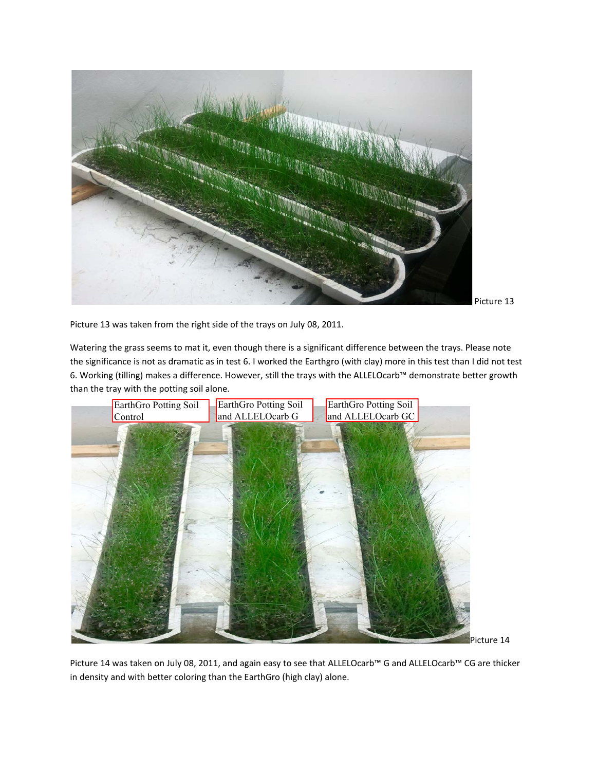

```
Picture 13
```
Picture 13 was taken from the right side of the trays on July 08, 2011.

Watering the grass seems to mat it, even though there is a significant difference between the trays. Please note the significance is not as dramatic as in test 6. I worked the Earthgro (with clay) more in this test than I did not test 6. Working (tilling) makes a difference. However, still the trays with the ALLELOcarb™ demonstrate better growth than the tray with the potting soil alone.



Picture 14 was taken on July 08, 2011, and again easy to see that ALLELOcarb™ G and ALLELOcarb™ CG are thicker in density and with better coloring than the EarthGro (high clay) alone.